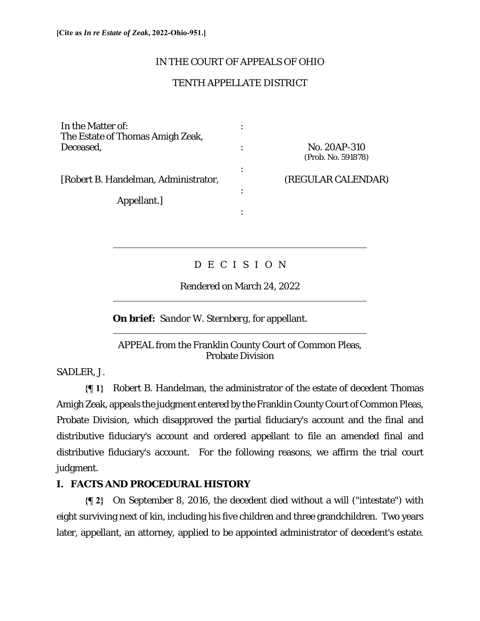### IN THE COURT OF APPEALS OF OHIO

## TENTH APPELLATE DISTRICT

In the Matter of:  $\cdot$  : The Estate of Thomas Amigh Zeak, Deceased, : No. 20AP-310 (Prob. No. 591878) the contract of the contract of the contract of the contract of the contract of the contract of the contract of [Robert B. Handelman, Administrator, (REGULAR CALENDAR) the contract of the contract of the contract of the contract of the contract of Appellant.] the contract of the contract of the contract of the contract of the contract of the contract of the contract of

# D E C I S I O N

Rendered on March 24, 2022

**On brief:** *Sandor W. Sternberg*, for appellant.

### APPEAL from the Franklin County Court of Common Pleas, Probate Division

SADLER, J.

 $\overline{a}$ 

 $\overline{a}$ 

 $\overline{a}$ 

**{¶ 1}** Robert B. Handelman, the administrator of the estate of decedent Thomas Amigh Zeak, appeals the judgment entered by the Franklin County Court of Common Pleas, Probate Division, which disapproved the partial fiduciary's account and the final and distributive fiduciary's account and ordered appellant to file an amended final and distributive fiduciary's account. For the following reasons, we affirm the trial court judgment.

## **I. FACTS AND PROCEDURAL HISTORY**

**{¶ 2}** On September 8, 2016, the decedent died without a will ("intestate") with eight surviving next of kin, including his five children and three grandchildren. Two years later, appellant, an attorney, applied to be appointed administrator of decedent's estate.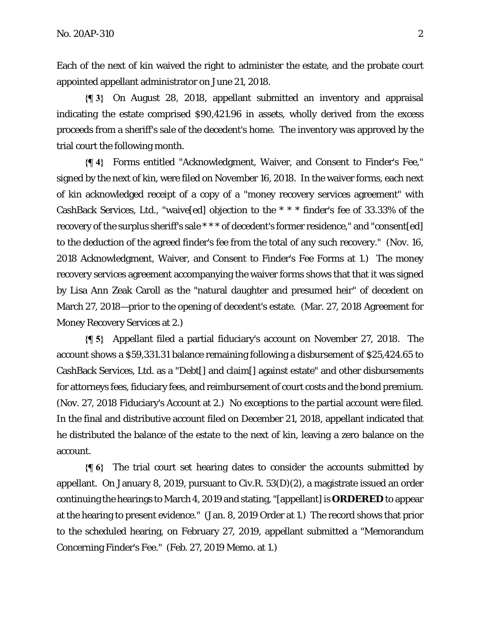Each of the next of kin waived the right to administer the estate, and the probate court appointed appellant administrator on June 21, 2018.

**{¶ 3}** On August 28, 2018, appellant submitted an inventory and appraisal indicating the estate comprised \$90,421.96 in assets, wholly derived from the excess proceeds from a sheriff's sale of the decedent's home. The inventory was approved by the trial court the following month.

**{¶ 4}** Forms entitled "Acknowledgment, Waiver, and Consent to Finder's Fee," signed by the next of kin, were filed on November 16, 2018. In the waiver forms, each next of kin acknowledged receipt of a copy of a "money recovery services agreement" with CashBack Services, Ltd., "waive[ed] objection to the \* \* \* finder's fee of 33.33% of the recovery of the surplus sheriff's sale \*\*\* of decedent's former residence," and "consent[ed] to the deduction of the agreed finder's fee from the total of any such recovery." (Nov. 16, 2018 Acknowledgment, Waiver, and Consent to Finder's Fee Forms at 1.) The money recovery services agreement accompanying the waiver forms shows that that it was signed by Lisa Ann Zeak Caroll as the "natural daughter and presumed heir" of decedent on March 27, 2018—prior to the opening of decedent's estate. (Mar. 27, 2018 Agreement for Money Recovery Services at 2.)

**{¶ 5}** Appellant filed a partial fiduciary's account on November 27, 2018. The account shows a \$59,331.31 balance remaining following a disbursement of \$25,424.65 to CashBack Services, Ltd. as a "Debt[] and claim[] against estate" and other disbursements for attorneys fees, fiduciary fees, and reimbursement of court costs and the bond premium. (Nov. 27, 2018 Fiduciary's Account at 2.) No exceptions to the partial account were filed. In the final and distributive account filed on December 21, 2018, appellant indicated that he distributed the balance of the estate to the next of kin, leaving a zero balance on the account.

**{¶ 6}** The trial court set hearing dates to consider the accounts submitted by appellant. On January 8, 2019, pursuant to Civ.R. 53(D)(2), a magistrate issued an order continuing the hearings to March 4, 2019 and stating, "[appellant] is **ORDERED** to appear at the hearing to present evidence." (Jan. 8, 2019 Order at 1.) The record shows that prior to the scheduled hearing, on February 27, 2019, appellant submitted a "Memorandum Concerning Finder's Fee." (Feb. 27, 2019 Memo. at 1.)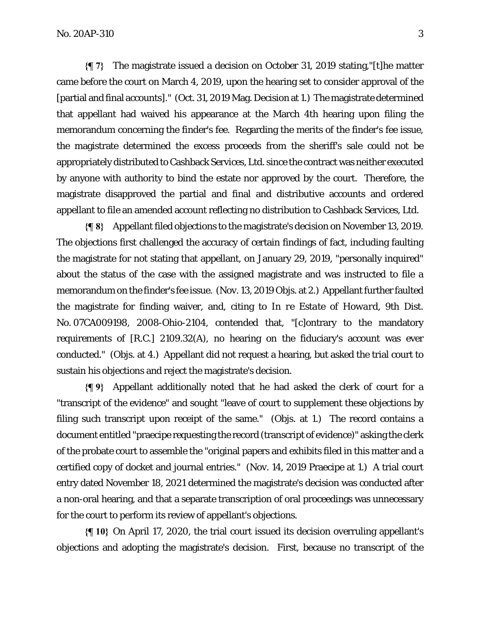**{¶ 7}** The magistrate issued a decision on October 31, 2019 stating,"[t]he matter came before the court on March 4, 2019, upon the hearing set to consider approval of the [partial and final accounts]." (Oct. 31, 2019 Mag. Decision at 1.) The magistrate determined that appellant had waived his appearance at the March 4th hearing upon filing the memorandum concerning the finder's fee. Regarding the merits of the finder's fee issue, the magistrate determined the excess proceeds from the sheriff's sale could not be appropriately distributed to Cashback Services, Ltd. since the contract was neither executed by anyone with authority to bind the estate nor approved by the court. Therefore, the magistrate disapproved the partial and final and distributive accounts and ordered appellant to file an amended account reflecting no distribution to Cashback Services, Ltd.

**{¶ 8}** Appellant filed objections to the magistrate's decision on November 13, 2019. The objections first challenged the accuracy of certain findings of fact, including faulting the magistrate for not stating that appellant, on January 29, 2019, "personally inquired" about the status of the case with the assigned magistrate and was instructed to file a memorandum on the finder's fee issue. (Nov. 13, 2019 Objs. at 2.) Appellant further faulted the magistrate for finding waiver, and, citing to *In re Estate of Howard*, 9th Dist. No. 07CA009198, 2008-Ohio-2104, contended that, "[c]ontrary to the mandatory requirements of [R.C.] 2109.32(A), no hearing on the fiduciary's account was ever conducted." (Objs. at 4.) Appellant did not request a hearing, but asked the trial court to sustain his objections and reject the magistrate's decision.

**{¶ 9}** Appellant additionally noted that he had asked the clerk of court for a "transcript of the evidence" and sought "leave of court to supplement these objections by filing such transcript upon receipt of the same." (Objs. at 1.) The record contains a document entitled "praecipe requesting the record (transcript of evidence)" asking the clerk of the probate court to assemble the "original papers and exhibits filed in this matter and a certified copy of docket and journal entries." (Nov. 14, 2019 Praecipe at 1.) A trial court entry dated November 18, 2021 determined the magistrate's decision was conducted after a non-oral hearing, and that a separate transcription of oral proceedings was unnecessary for the court to perform its review of appellant's objections.

**{¶ 10}** On April 17, 2020, the trial court issued its decision overruling appellant's objections and adopting the magistrate's decision. First, because no transcript of the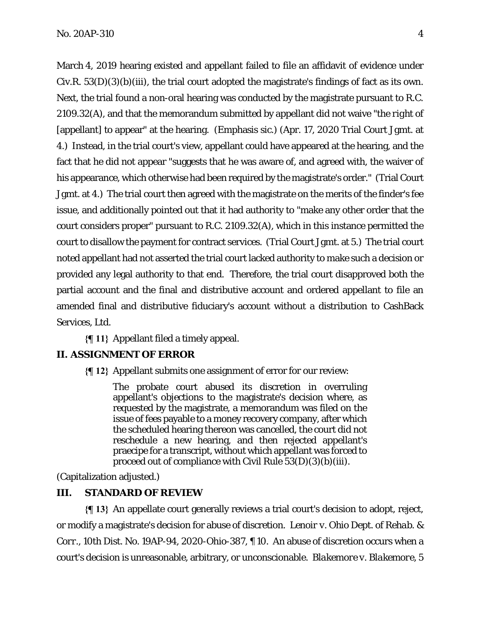March 4, 2019 hearing existed and appellant failed to file an affidavit of evidence under Civ.R. 53(D)(3)(b)(iii), the trial court adopted the magistrate's findings of fact as its own. Next, the trial found a non-oral hearing was conducted by the magistrate pursuant to R.C. 2109.32(A), and that the memorandum submitted by appellant did not waive "the *right* of [appellant] to appear" at the hearing. (Emphasis sic.) (Apr. 17, 2020 Trial Court Jgmt. at 4.) Instead, in the trial court's view, appellant could have appeared at the hearing, and the fact that he did not appear "suggests that he was aware of, and agreed with, the waiver of his appearance, which otherwise had been required by the magistrate's order." (Trial Court Jgmt. at 4.) The trial court then agreed with the magistrate on the merits of the finder's fee issue, and additionally pointed out that it had authority to "make any other order that the court considers proper" pursuant to R.C. 2109.32(A), which in this instance permitted the court to disallow the payment for contract services. (Trial Court Jgmt. at 5.) The trial court noted appellant had not asserted the trial court lacked authority to make such a decision or provided any legal authority to that end. Therefore, the trial court disapproved both the partial account and the final and distributive account and ordered appellant to file an amended final and distributive fiduciary's account without a distribution to CashBack Services, Ltd.

**{¶ 11}** Appellant filed a timely appeal.

### **II. ASSIGNMENT OF ERROR**

**{¶ 12}** Appellant submits one assignment of error for our review:

The probate court abused its discretion in overruling appellant's objections to the magistrate's decision where, as requested by the magistrate, a memorandum was filed on the issue of fees payable to a money recovery company, after which the scheduled hearing thereon was cancelled, the court did not reschedule a new hearing, and then rejected appellant's praecipe for a transcript, without which appellant was forced to proceed out of compliance with Civil Rule 53(D)(3)(b)(iii).

(Capitalization adjusted.)

### **III. STANDARD OF REVIEW**

**{¶ 13}** An appellate court generally reviews a trial court's decision to adopt, reject, or modify a magistrate's decision for abuse of discretion. *Lenoir v. Ohio Dept. of Rehab. & Corr.*, 10th Dist. No. 19AP-94, 2020-Ohio-387, ¶ 10. An abuse of discretion occurs when a court's decision is unreasonable, arbitrary, or unconscionable. *Blakemore v. Blakemore*, 5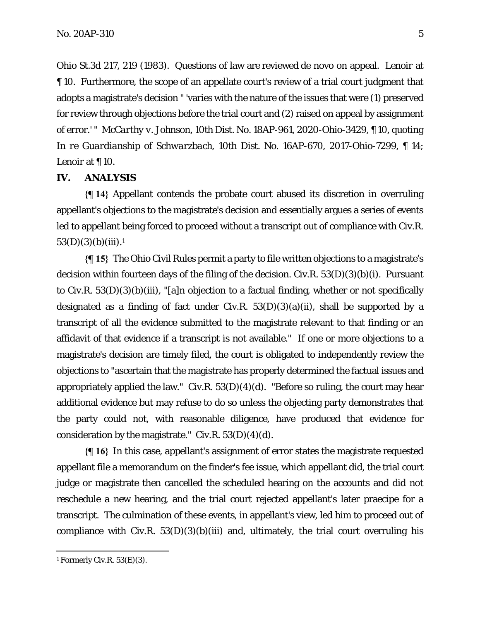Ohio St.3d 217, 219 (1983). Questions of law are reviewed de novo on appeal. *Lenoir* at ¶ 10. Furthermore, the scope of an appellate court's review of a trial court judgment that adopts a magistrate's decision " 'varies with the nature of the issues that were (1) preserved for review through objections before the trial court and (2) raised on appeal by assignment of error.' " *McCarthy v. Johnson*, 10th Dist. No. 18AP-961, 2020-Ohio-3429, ¶ 10, quoting *In re Guardianship of Schwarzbach*, 10th Dist. No. 16AP-670, 2017-Ohio-7299, ¶ 14; *Lenoir* at ¶ 10.

#### **IV. ANALYSIS**

**{¶ 14}** Appellant contends the probate court abused its discretion in overruling appellant's objections to the magistrate's decision and essentially argues a series of events led to appellant being forced to proceed without a transcript out of compliance with Civ.R.  $53(D)(3)(b)(iii).<sup>1</sup>$ 

**{¶ 15}** The Ohio Civil Rules permit a party to file written objections to a magistrate's decision within fourteen days of the filing of the decision. Civ.R.  $53(D)(3)(b)(i)$ . Pursuant to Civ.R. 53(D)(3)(b)(iii), "[a]n objection to a factual finding, whether or not specifically designated as a finding of fact under Civ.R.  $53(D)(3)(a)(ii)$ , shall be supported by a transcript of all the evidence submitted to the magistrate relevant to that finding or an affidavit of that evidence if a transcript is not available." If one or more objections to a magistrate's decision are timely filed, the court is obligated to independently review the objections to "ascertain that the magistrate has properly determined the factual issues and appropriately applied the law." Civ.R.  $53(D)(4)(d)$ . "Before so ruling, the court may hear additional evidence but may refuse to do so unless the objecting party demonstrates that the party could not, with reasonable diligence, have produced that evidence for consideration by the magistrate." Civ.R.  $53(D)(4)(d)$ .

**{¶ 16}** In this case, appellant's assignment of error states the magistrate requested appellant file a memorandum on the finder's fee issue, which appellant did, the trial court judge or magistrate then cancelled the scheduled hearing on the accounts and did not reschedule a new hearing, and the trial court rejected appellant's later praecipe for a transcript. The culmination of these events, in appellant's view, led him to proceed out of compliance with Civ.R.  $53(D)(3)(b)(iii)$  and, ultimately, the trial court overruling his

 $1$  Formerly Civ.R. 53(E)(3).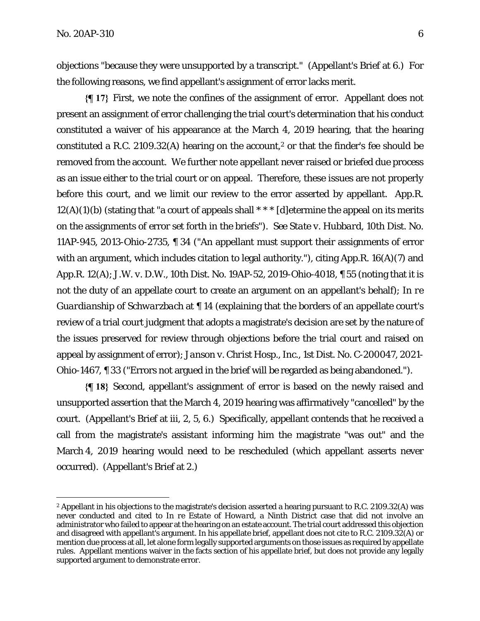objections "because they were unsupported by a transcript." (Appellant's Brief at 6.) For the following reasons, we find appellant's assignment of error lacks merit.

**{¶ 17}** First, we note the confines of the assignment of error. Appellant does not present an assignment of error challenging the trial court's determination that his conduct constituted a waiver of his appearance at the March 4, 2019 hearing, that the hearing constituted a R.C. 2109.32(A) hearing on the account,<sup>2</sup> or that the finder's fee should be removed from the account. We further note appellant never raised or briefed due process as an issue either to the trial court or on appeal.Therefore, these issues are not properly before this court, and we limit our review to the error asserted by appellant. App.R.  $12(A)(1)(b)$  (stating that "a court of appeals shall  $***$  [d] etermine the appeal on its merits on the assignments of error set forth in the briefs"). *See State v. Hubbard*, 10th Dist. No. 11AP-945, 2013-Ohio-2735, ¶ 34 ("An appellant must support their assignments of error with an argument, which includes citation to legal authority."), citing App.R. 16(A)(7) and App.R. 12(A); *J.W. v. D.W.*, 10th Dist. No. 19AP-52, 2019-Ohio-4018, ¶ 55 (noting that it is not the duty of an appellate court to create an argument on an appellant's behalf); *In re Guardianship of Schwarzbach* at  $\llbracket$  14 (explaining that the borders of an appellate court's review of a trial court judgment that adopts a magistrate's decision are set by the nature of the issues preserved for review through objections before the trial court and raised on appeal by assignment of error); *Janson v. Christ Hosp., Inc.*, 1st Dist. No. C-200047, 2021- Ohio-1467, ¶ 33 ("Errors not argued in the brief will be regarded as being abandoned.").

**{¶ 18}** Second, appellant's assignment of error is based on the newly raised and unsupported assertion that the March 4, 2019 hearing was affirmatively "cancelled" by the court. (Appellant's Brief at iii, 2, 5, 6.) Specifically, appellant contends that he received a call from the magistrate's assistant informing him the magistrate "was out" and the March 4, 2019 hearing would need to be rescheduled (which appellant asserts never occurred). (Appellant's Brief at 2.)

<sup>2</sup> Appellant in his objections to the magistrate's decision asserted a hearing pursuant to R.C. 2109.32(A) was never conducted and cited to *In re Estate of Howard*, a Ninth District case that did not involve an administrator who failed to appear at the hearing on an estate account. The trial court addressed this objection and disagreed with appellant's argument. In his appellate brief, appellant does not cite to R.C. 2109.32(A) or mention due process at all, let alone form legally supported arguments on those issues as required by appellate rules. Appellant mentions waiver in the facts section of his appellate brief, but does not provide any legally supported argument to demonstrate error.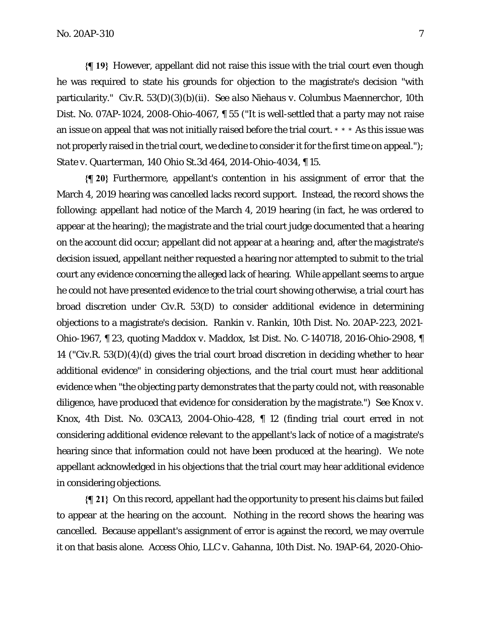**{¶ 19}** However, appellant did not raise this issue with the trial court even though he was required to state his grounds for objection to the magistrate's decision "with particularity." Civ.R. 53(D)(3)(b)(ii). *See also Niehaus v. Columbus Maennerchor*, 10th Dist. No. 07AP-1024, 2008-Ohio-4067, ¶ 55 ("It is well-settled that a party may not raise an issue on appeal that was not initially raised before the trial court. \* \* \* As this issue was not properly raised in the trial court, we decline to consider it for the first time on appeal."); *State v. Quarterman*, 140 Ohio St.3d 464, 2014-Ohio-4034, ¶ 15.

**{¶ 20}** Furthermore, appellant's contention in his assignment of error that the March 4, 2019 hearing was cancelled lacks record support. Instead, the record shows the following: appellant had notice of the March 4, 2019 hearing (in fact, he was ordered to appear at the hearing); the magistrate and the trial court judge documented that a hearing on the account did occur; appellant did not appear at a hearing; and, after the magistrate's decision issued, appellant neither requested a hearing nor attempted to submit to the trial court any evidence concerning the alleged lack of hearing. While appellant seems to argue he could not have presented evidence to the trial court showing otherwise, a trial court has broad discretion under Civ.R. 53(D) to consider additional evidence in determining objections to a magistrate's decision. *Rankin v. Rankin*, 10th Dist. No. 20AP-223, 2021- Ohio-1967, ¶ 23, quoting *Maddox v. Maddox*, 1st Dist. No. C-140718, 2016-Ohio-2908, ¶ 14 ("Civ.R. 53(D)(4)(d) gives the trial court broad discretion in deciding whether to hear additional evidence" in considering objections, and the trial court must hear additional evidence when "the objecting party demonstrates that the party could not, with reasonable diligence, have produced that evidence for consideration by the magistrate.") *See Knox v. Knox*, 4th Dist. No. 03CA13, 2004-Ohio-428, ¶ 12 (finding trial court erred in not considering additional evidence relevant to the appellant's lack of notice of a magistrate's hearing since that information could not have been produced at the hearing). We note appellant acknowledged in his objections that the trial court may hear additional evidence in considering objections.

**{¶ 21}** On this record, appellant had the opportunity to present his claims but failed to appear at the hearing on the account. Nothing in the record shows the hearing was cancelled. Because appellant's assignment of error is against the record, we may overrule it on that basis alone. *Access Ohio, LLC v. Gahanna*, 10th Dist. No. 19AP-64, 2020-Ohio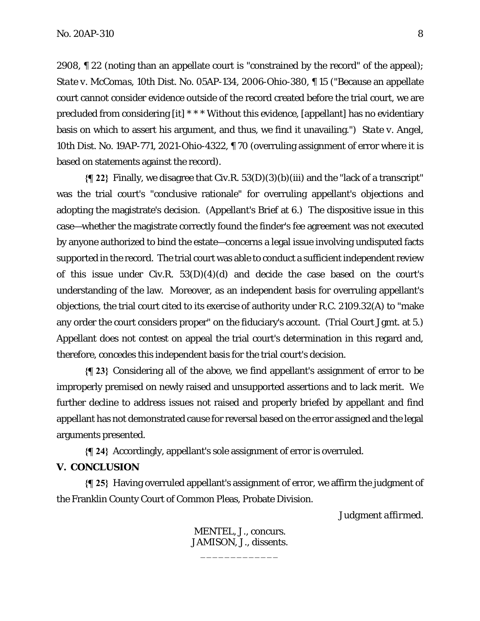2908, ¶ 22 (noting than an appellate court is "constrained by the record" of the appeal); *State v. McComas*, 10th Dist. No. 05AP-134, 2006-Ohio-380, ¶ 15 ("Because an appellate court cannot consider evidence outside of the record created before the trial court, we are precluded from considering [it] \* \* \* Without this evidence, [appellant] has no evidentiary basis on which to assert his argument, and thus, we find it unavailing.") *State v. Angel*, 10th Dist. No. 19AP-771, 2021-Ohio-4322, ¶ 70 (overruling assignment of error where it is based on statements against the record).

**{¶ 22}** Finally, we disagree that Civ.R. 53(D)(3)(b)(iii) and the "lack of a transcript" was the trial court's "conclusive rationale" for overruling appellant's objections and adopting the magistrate's decision. (Appellant's Brief at 6.) The dispositive issue in this case—whether the magistrate correctly found the finder's fee agreement was not executed by anyone authorized to bind the estate—concerns a legal issue involving undisputed facts supported in the record. The trial court was able to conduct a sufficient independent review of this issue under Civ.R.  $53(D)(4)(d)$  and decide the case based on the court's understanding of the law. Moreover, as an independent basis for overruling appellant's objections, the trial court cited to its exercise of authority under R.C. 2109.32(A) to "make any order the court considers proper" on the fiduciary's account. (Trial Court Jgmt. at 5.) Appellant does not contest on appeal the trial court's determination in this regard and, therefore, concedes this independent basis for the trial court's decision.

**{¶ 23}** Considering all of the above, we find appellant's assignment of error to be improperly premised on newly raised and unsupported assertions and to lack merit. We further decline to address issues not raised and properly briefed by appellant and find appellant has not demonstrated cause for reversal based on the error assigned and the legal arguments presented.

**{¶ 24}** Accordingly, appellant's sole assignment of error is overruled.

#### **V. CONCLUSION**

**{¶ 25}** Having overruled appellant's assignment of error, we affirm the judgment of the Franklin County Court of Common Pleas, Probate Division.

*Judgment affirmed.* 

MENTEL, J., concurs. JAMISON, J., dissents.

\_\_\_\_\_\_\_\_\_\_\_\_\_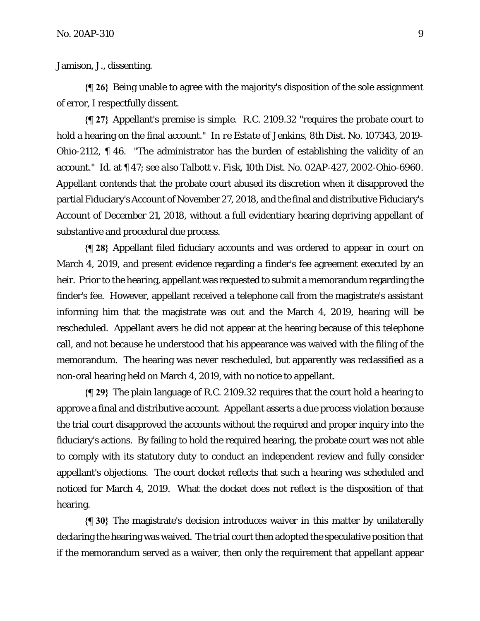Jamison, J., dissenting.

**{¶ 26}** Being unable to agree with the majority's disposition of the sole assignment of error, I respectfully dissent.

**{¶ 27}** Appellant's premise is simple. R.C. 2109.32 "requires the probate court to hold a hearing on the final account." *In re Estate of Jenkins,* 8th Dist. No. 107343, 2019- Ohio-2112, ¶ 46. "The administrator has the burden of establishing the validity of an account." *Id.* at ¶ 47; *see also Talbott v. Fisk,* 10th Dist. No. 02AP-427, 2002-Ohio-6960. Appellant contends that the probate court abused its discretion when it disapproved the partial Fiduciary's Account of November 27, 2018, and the final and distributive Fiduciary's Account of December 21, 2018, without a full evidentiary hearing depriving appellant of substantive and procedural due process.

**{¶ 28}** Appellant filed fiduciary accounts and was ordered to appear in court on March 4, 2019, and present evidence regarding a finder's fee agreement executed by an heir. Prior to the hearing, appellant was requested to submit a memorandum regarding the finder's fee. However, appellant received a telephone call from the magistrate's assistant informing him that the magistrate was out and the March 4, 2019, hearing will be rescheduled. Appellant avers he did not appear at the hearing because of this telephone call, and not because he understood that his appearance was waived with the filing of the memorandum. The hearing was never rescheduled, but apparently was reclassified as a non-oral hearing held on March 4, 2019, with no notice to appellant.

**{¶ 29}** The plain language of R.C. 2109.32 requires that the court hold a hearing to approve a final and distributive account. Appellant asserts a due process violation because the trial court disapproved the accounts without the required and proper inquiry into the fiduciary's actions. By failing to hold the required hearing, the probate court was not able to comply with its statutory duty to conduct an independent review and fully consider appellant's objections. The court docket reflects that such a hearing was scheduled and noticed for March 4, 2019. What the docket does not reflect is the disposition of that hearing.

**{¶ 30}** The magistrate's decision introduces waiver in this matter by unilaterally declaring the hearing was waived. The trial court then adopted the speculative position that if the memorandum served as a waiver, then only the requirement that appellant appear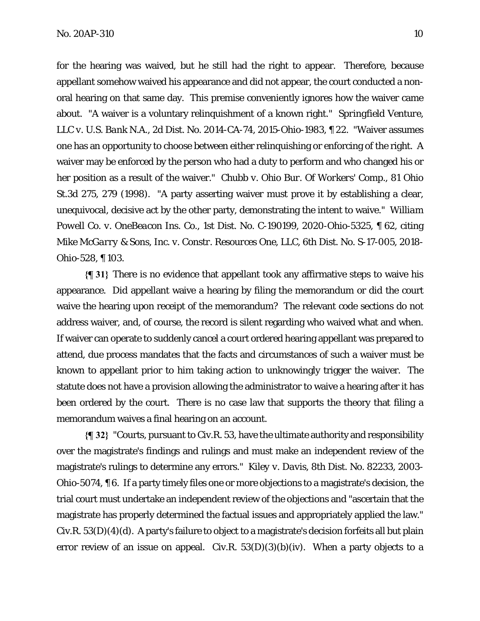for the hearing was waived, but he still had the right to appear. Therefore, because appellant somehow waived his appearance and did not appear, the court conducted a nonoral hearing on that same day. This premise conveniently ignores how the waiver came about. "A waiver is a voluntary relinquishment of a known right." *Springfield Venture, LLC v. U.S. Bank N.A.,* 2d Dist. No. 2014-CA-74, 2015-Ohio-1983, ¶ 22. "Waiver assumes one has an opportunity to choose between either relinquishing or enforcing of the right. A waiver may be enforced by the person who had a duty to perform and who changed his or her position as a result of the waiver." *Chubb v. Ohio Bur. Of Workers' Comp.,* 81 Ohio St.3d 275, 279 (1998). "A party asserting waiver must prove it by establishing a clear, unequivocal, decisive act by the other party, demonstrating the intent to waive." *William Powell Co. v. OneBeacon Ins. Co.,* 1st Dist. No. C-190199, 2020-Ohio-5325, ¶ 62, citing *Mike McGarry & Sons, Inc. v. Constr. Resources One, LLC,* 6th Dist. No. S-17-005, 2018- Ohio-528, ¶ 103.

**{¶ 31}** There is no evidence that appellant took any affirmative steps to waive his appearance. Did appellant waive a hearing by filing the memorandum or did the court waive the hearing upon receipt of the memorandum? The relevant code sections do not address waiver, and, of course, the record is silent regarding who waived what and when. If waiver can operate to suddenly cancel a court ordered hearing appellant was prepared to attend, due process mandates that the facts and circumstances of such a waiver must be known to appellant prior to him taking action to unknowingly trigger the waiver. The statute does not have a provision allowing the administrator to waive a hearing after it has been ordered by the court. There is no case law that supports the theory that filing a memorandum waives a final hearing on an account.

**{¶ 32}** "Courts, pursuant to Civ.R. 53, have the ultimate authority and responsibility over the magistrate's findings and rulings and must make an independent review of the magistrate's rulings to determine any errors." *Kiley v. Davis,* 8th Dist. No. 82233, 2003- Ohio-5074, ¶ 6. If a party timely files one or more objections to a magistrate's decision, the trial court must undertake an independent review of the objections and "ascertain that the magistrate has properly determined the factual issues and appropriately applied the law." Civ.R. 53(D)(4)(d). A party's failure to object to a magistrate's decision forfeits all but plain error review of an issue on appeal. Civ.R.  $53(D)(3)(b)(iv)$ . When a party objects to a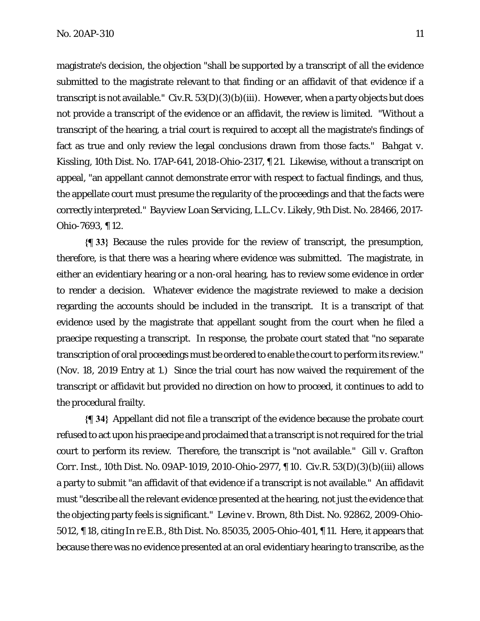magistrate's decision, the objection "shall be supported by a transcript of all the evidence submitted to the magistrate relevant to that finding or an affidavit of that evidence if a transcript is not available." Civ.R.  $53(D)(3)(b)(iii)$ . However, when a party objects but does not provide a transcript of the evidence or an affidavit, the review is limited. "Without a transcript of the hearing, a trial court is required to accept all the magistrate's findings of fact as true and only review the legal conclusions drawn from those facts." *Bahgat v. Kissling,* 10th Dist. No. 17AP-641, 2018-Ohio-2317, ¶ 21. Likewise, without a transcript on appeal, "an appellant cannot demonstrate error with respect to factual findings, and thus, the appellate court must presume the regularity of the proceedings and that the facts were correctly interpreted." *Bayview Loan Servicing, L.L.C v. Likely,* 9th Dist. No. 28466, 2017- Ohio-7693, ¶ 12.

**{¶ 33}** Because the rules provide for the review of transcript, the presumption, therefore, is that there was a hearing where evidence was submitted. The magistrate, in either an evidentiary hearing or a non-oral hearing, has to review some evidence in order to render a decision. Whatever evidence the magistrate reviewed to make a decision regarding the accounts should be included in the transcript. It is a transcript of that evidence used by the magistrate that appellant sought from the court when he filed a praecipe requesting a transcript. In response, the probate court stated that "no separate transcription of oral proceedings must be ordered to enable the court to perform its review." (Nov. 18, 2019 Entry at 1.) Since the trial court has now waived the requirement of the transcript or affidavit but provided no direction on how to proceed, it continues to add to the procedural frailty.

**{¶ 34}** Appellant did not file a transcript of the evidence because the probate court refused to act upon his praecipe and proclaimed that a transcript is not required for the trial court to perform its review. Therefore, the transcript is "not available." *Gill v. Grafton Corr. Inst.,* 10th Dist. No. 09AP-1019, 2010-Ohio-2977, ¶ 10. Civ.R. 53(D)(3)(b)(iii) allows a party to submit "an affidavit of that evidence if a transcript is not available." An affidavit must "describe all the relevant evidence presented at the hearing, not just the evidence that the objecting party feels is significant." *Levine v. Brown,* 8th Dist. No. 92862, 2009-Ohio-5012, ¶ 18, citing *In re E.B.,* 8th Dist. No. 85035, 2005-Ohio-401, ¶ 11. Here, it appears that because there was no evidence presented at an oral evidentiary hearing to transcribe, as the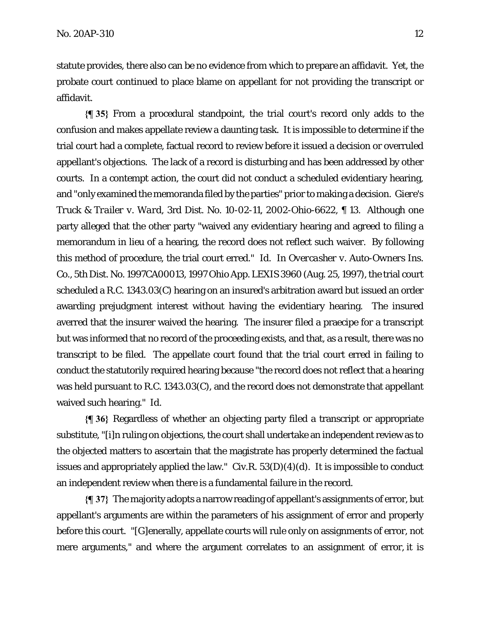statute provides, there also can be no evidence from which to prepare an affidavit. Yet, the probate court continued to place blame on appellant for not providing the transcript or affidavit.

**{¶ 35}** From a procedural standpoint, the trial court's record only adds to the confusion and makes appellate review a daunting task. It is impossible to determine if the trial court had a complete, factual record to review before it issued a decision or overruled appellant's objections. The lack of a record is disturbing and has been addressed by other courts. In a contempt action, the court did not conduct a scheduled evidentiary hearing, and "only examined the memoranda filed by the parties" prior to making a decision. *Giere's Truck & Trailer v. Ward,* 3rd Dist. No. 10-02-11, 2002-Ohio-6622, ¶ 13. Although one party alleged that the other party "waived any evidentiary hearing and agreed to filing a memorandum in lieu of a hearing, the record does not reflect such waiver. By following this method of procedure, the trial court erred." *Id.* In *Overcasher v. Auto-Owners Ins. Co.,* 5th Dist. No. 1997CA00013, 1997 Ohio App. LEXIS 3960 (Aug. 25, 1997), the trial court scheduled a R.C. 1343.03(C) hearing on an insured's arbitration award but issued an order awarding prejudgment interest without having the evidentiary hearing. The insured averred that the insurer waived the hearing. The insurer filed a praecipe for a transcript but was informed that no record of the proceeding exists, and that, as a result, there was no transcript to be filed. The appellate court found that the trial court erred in failing to conduct the statutorily required hearing because "the record does not reflect that a hearing was held pursuant to R.C. 1343.03(C), and the record does not demonstrate that appellant waived such hearing." *Id.* 

**{¶ 36}** Regardless of whether an objecting party filed a transcript or appropriate substitute, "[i]n ruling on objections, the court shall undertake an independent review as to the objected matters to ascertain that the magistrate has properly determined the factual issues and appropriately applied the law." Civ.R.  $53(D)(4)(d)$ . It is impossible to conduct an independent review when there is a fundamental failure in the record.

**{¶ 37}** The majority adopts a narrow reading of appellant's assignments of error, but appellant's arguments are within the parameters of his assignment of error and properly before this court. "[G]enerally, appellate courts will rule only on assignments of error, not mere arguments," and where the argument correlates to an assignment of error, it is